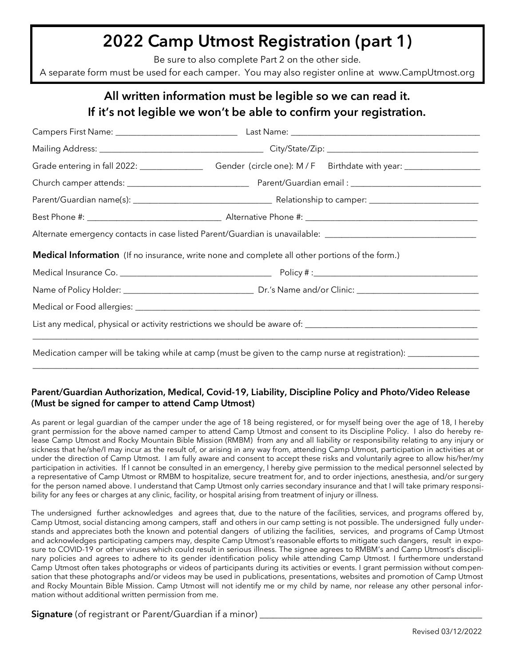## **2022 Camp Utmost Registration (part 1)**

Be sure to also complete Part 2 on the other side.

A separate form must be used for each camper. You may also register online at www.CampUtmost.org

### **All written information must be legible so we can read it. If it's not legible we won't be able to confirm your registration.**

| Grade entering in fall 2022: _______________________Gender (circle one): M/F Birthdate with year: __________________ |  |  |  |  |  |
|----------------------------------------------------------------------------------------------------------------------|--|--|--|--|--|
|                                                                                                                      |  |  |  |  |  |
|                                                                                                                      |  |  |  |  |  |
|                                                                                                                      |  |  |  |  |  |
| Alternate emergency contacts in case listed Parent/Guardian is unavailable: __________________________________       |  |  |  |  |  |
| <b>Medical Information</b> (If no insurance, write none and complete all other portions of the form.)                |  |  |  |  |  |
|                                                                                                                      |  |  |  |  |  |
|                                                                                                                      |  |  |  |  |  |
|                                                                                                                      |  |  |  |  |  |
|                                                                                                                      |  |  |  |  |  |
| Medication camper will be taking while at camp (must be given to the camp nurse at registration): ____________       |  |  |  |  |  |

#### **Parent/Guardian Authorization, Medical, Covid-19, Liability, Discipline Policy and Photo/Video Release (Must be signed for camper to attend Camp Utmost)**

\_\_\_\_\_\_\_\_\_\_\_\_\_\_\_\_\_\_\_\_\_\_\_\_\_\_\_\_\_\_\_\_\_\_\_\_\_\_\_\_\_\_\_\_\_\_\_\_\_\_\_\_\_\_\_\_\_\_\_\_\_\_\_\_\_\_\_\_\_\_\_\_\_\_\_\_\_\_\_\_\_\_\_\_\_\_\_\_\_\_\_\_\_\_\_\_\_\_\_\_\_\_\_\_\_\_

As parent or legal guardian of the camper under the age of 18 being registered, or for myself being over the age of 18, I hereby grant permission for the above named camper to attend Camp Utmost and consent to its Discipline Policy. I also do hereby release Camp Utmost and Rocky Mountain Bible Mission (RMBM) from any and all liability or responsibility relating to any injury or sickness that he/she/I may incur as the result of, or arising in any way from, attending Camp Utmost, participation in activities at or under the direction of Camp Utmost. I am fully aware and consent to accept these risks and voluntarily agree to allow his/her/my participation in activities. If I cannot be consulted in an emergency, I hereby give permission to the medical personnel selected by a representative of Camp Utmost or RMBM to hospitalize, secure treatment for, and to order injections, anesthesia, and/or surgery for the person named above. I understand that Camp Utmost only carries secondary insurance and that I will take primary responsibility for any fees or charges at any clinic, facility, or hospital arising from treatment of injury or illness.

The undersigned further acknowledges and agrees that, due to the nature of the facilities, services, and programs offered by, Camp Utmost, social distancing among campers, staff and others in our camp setting is not possible. The undersigned fully understands and appreciates both the known and potential dangers of utilizing the facilities, services, and programs of Camp Utmost and acknowledges participating campers may, despite Camp Utmost's reasonable efforts to mitigate such dangers, result in exposure to COVID-19 or other viruses which could result in serious illness. The signee agrees to RMBM's and Camp Utmost's disciplinary policies and agrees to adhere to its gender identification policy while attending Camp Utmost. I furthermore understand Camp Utmost often takes photographs or videos of participants during its activities or events. I grant permission without compensation that these photographs and/or videos may be used in publications, presentations, websites and promotion of Camp Utmost and Rocky Mountain Bible Mission. Camp Utmost will not identify me or my child by name, nor release any other personal information without additional written permission from me.

**Signature** (of registrant or Parent/Guardian if a minor)